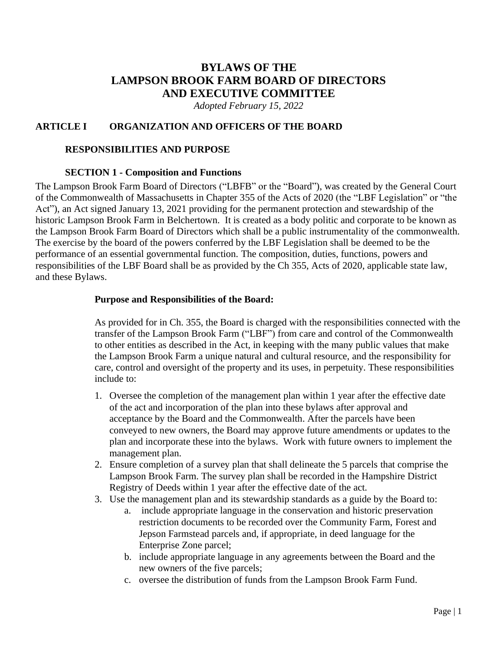# **BYLAWS OF THE LAMPSON BROOK FARM BOARD OF DIRECTORS AND EXECUTIVE COMMITTEE**

*Adopted February 15, 2022*

#### **ARTICLE I ORGANIZATION AND OFFICERS OF THE BOARD**

#### **RESPONSIBILITIES AND PURPOSE**

#### **SECTION 1 - Composition and Functions**

The Lampson Brook Farm Board of Directors ("LBFB" or the "Board"), was created by the General Court of the Commonwealth of Massachusetts in Chapter 355 of the Acts of 2020 (the "LBF Legislation" or "the Act"), an Act signed January 13, 2021 providing for the permanent protection and stewardship of the historic Lampson Brook Farm in Belchertown. It is created as a body politic and corporate to be known as the Lampson Brook Farm Board of Directors which shall be a public instrumentality of the commonwealth. The exercise by the board of the powers conferred by the LBF Legislation shall be deemed to be the performance of an essential governmental function. The composition, duties, functions, powers and responsibilities of the LBF Board shall be as provided by the Ch 355, Acts of 2020, applicable state law, and these Bylaws.

#### **Purpose and Responsibilities of the Board:**

As provided for in Ch. 355, the Board is charged with the responsibilities connected with the transfer of the Lampson Brook Farm ("LBF") from care and control of the Commonwealth to other entities as described in the Act, in keeping with the many public values that make the Lampson Brook Farm a unique natural and cultural resource, and the responsibility for care, control and oversight of the property and its uses, in perpetuity. These responsibilities include to:

- 1. Oversee the completion of the management plan within 1 year after the effective date of the act and incorporation of the plan into these bylaws after approval and acceptance by the Board and the Commonwealth. After the parcels have been conveyed to new owners, the Board may approve future amendments or updates to the plan and incorporate these into the bylaws. Work with future owners to implement the management plan.
- 2. Ensure completion of a survey plan that shall delineate the 5 parcels that comprise the Lampson Brook Farm. The survey plan shall be recorded in the Hampshire District Registry of Deeds within 1 year after the effective date of the act.
- 3. Use the management plan and its stewardship standards as a guide by the Board to:
	- a. include appropriate language in the conservation and historic preservation restriction documents to be recorded over the Community Farm, Forest and Jepson Farmstead parcels and, if appropriate, in deed language for the Enterprise Zone parcel;
	- b. include appropriate language in any agreements between the Board and the new owners of the five parcels;
	- c. oversee the distribution of funds from the Lampson Brook Farm Fund.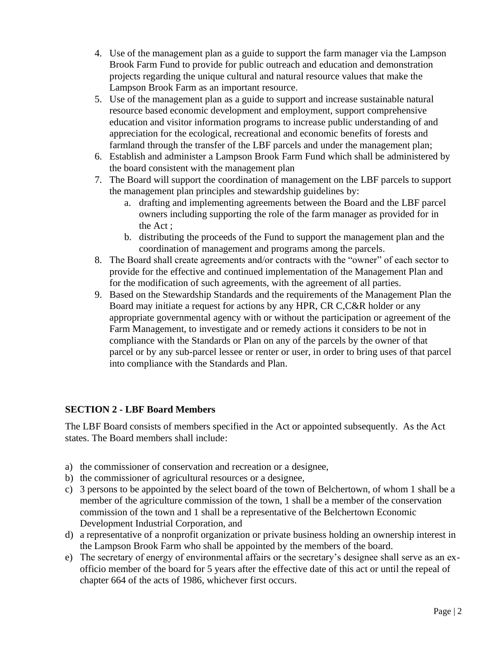- 4. Use of the management plan as a guide to support the farm manager via the Lampson Brook Farm Fund to provide for public outreach and education and demonstration projects regarding the unique cultural and natural resource values that make the Lampson Brook Farm as an important resource.
- 5. Use of the management plan as a guide to support and increase sustainable natural resource based economic development and employment, support comprehensive education and visitor information programs to increase public understanding of and appreciation for the ecological, recreational and economic benefits of forests and farmland through the transfer of the LBF parcels and under the management plan;
- 6. Establish and administer a Lampson Brook Farm Fund which shall be administered by the board consistent with the management plan
- 7. The Board will support the coordination of management on the LBF parcels to support the management plan principles and stewardship guidelines by:
	- a. drafting and implementing agreements between the Board and the LBF parcel owners including supporting the role of the farm manager as provided for in the Act ;
	- b. distributing the proceeds of the Fund to support the management plan and the coordination of management and programs among the parcels.
- 8. The Board shall create agreements and/or contracts with the "owner" of each sector to provide for the effective and continued implementation of the Management Plan and for the modification of such agreements, with the agreement of all parties.
- 9. Based on the Stewardship Standards and the requirements of the Management Plan the Board may initiate a request for actions by any HPR, CR C,C&R holder or any appropriate governmental agency with or without the participation or agreement of the Farm Management, to investigate and or remedy actions it considers to be not in compliance with the Standards or Plan on any of the parcels by the owner of that parcel or by any sub-parcel lessee or renter or user, in order to bring uses of that parcel into compliance with the Standards and Plan.

### **SECTION 2 - LBF Board Members**

The LBF Board consists of members specified in the Act or appointed subsequently. As the Act states. The Board members shall include:

- a) the commissioner of conservation and recreation or a designee,
- b) the commissioner of agricultural resources or a designee,
- c) 3 persons to be appointed by the select board of the town of Belchertown, of whom 1 shall be a member of the agriculture commission of the town, 1 shall be a member of the conservation commission of the town and 1 shall be a representative of the Belchertown Economic Development Industrial Corporation, and
- d) a representative of a nonprofit organization or private business holding an ownership interest in the Lampson Brook Farm who shall be appointed by the members of the board.
- e) The secretary of energy of environmental affairs or the secretary's designee shall serve as an exofficio member of the board for 5 years after the effective date of this act or until the repeal of chapter 664 of the acts of 1986, whichever first occurs.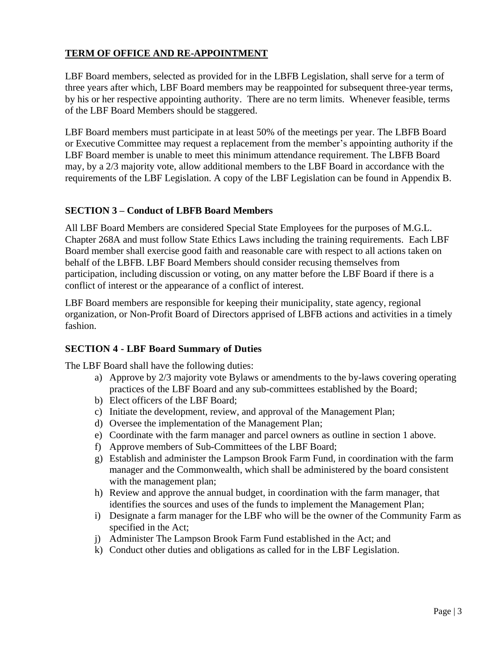### **TERM OF OFFICE AND RE-APPOINTMENT**

LBF Board members, selected as provided for in the LBFB Legislation, shall serve for a term of three years after which, LBF Board members may be reappointed for subsequent three-year terms, by his or her respective appointing authority. There are no term limits. Whenever feasible, terms of the LBF Board Members should be staggered.

LBF Board members must participate in at least 50% of the meetings per year. The LBFB Board or Executive Committee may request a replacement from the member's appointing authority if the LBF Board member is unable to meet this minimum attendance requirement. The LBFB Board may, by a 2/3 majority vote, allow additional members to the LBF Board in accordance with the requirements of the LBF Legislation. A copy of the LBF Legislation can be found in Appendix B.

### **SECTION 3 – Conduct of LBFB Board Members**

All LBF Board Members are considered Special State Employees for the purposes of M.G.L. Chapter 268A and must follow State Ethics Laws including the training requirements. Each LBF Board member shall exercise good faith and reasonable care with respect to all actions taken on behalf of the LBFB. LBF Board Members should consider recusing themselves from participation, including discussion or voting, on any matter before the LBF Board if there is a conflict of interest or the appearance of a conflict of interest.

LBF Board members are responsible for keeping their municipality, state agency, regional organization, or Non-Profit Board of Directors apprised of LBFB actions and activities in a timely fashion.

#### **SECTION 4 - LBF Board Summary of Duties**

The LBF Board shall have the following duties:

- a) Approve by 2/3 majority vote Bylaws or amendments to the by-laws covering operating practices of the LBF Board and any sub-committees established by the Board;
- b) Elect officers of the LBF Board;
- c) Initiate the development, review, and approval of the Management Plan;
- d) Oversee the implementation of the Management Plan;
- e) Coordinate with the farm manager and parcel owners as outline in section 1 above.
- f) Approve members of Sub-Committees of the LBF Board;
- g) Establish and administer the Lampson Brook Farm Fund, in coordination with the farm manager and the Commonwealth, which shall be administered by the board consistent with the management plan;
- h) Review and approve the annual budget, in coordination with the farm manager, that identifies the sources and uses of the funds to implement the Management Plan;
- i) Designate a farm manager for the LBF who will be the owner of the Community Farm as specified in the Act;
- j) Administer The Lampson Brook Farm Fund established in the Act; and
- k) Conduct other duties and obligations as called for in the LBF Legislation.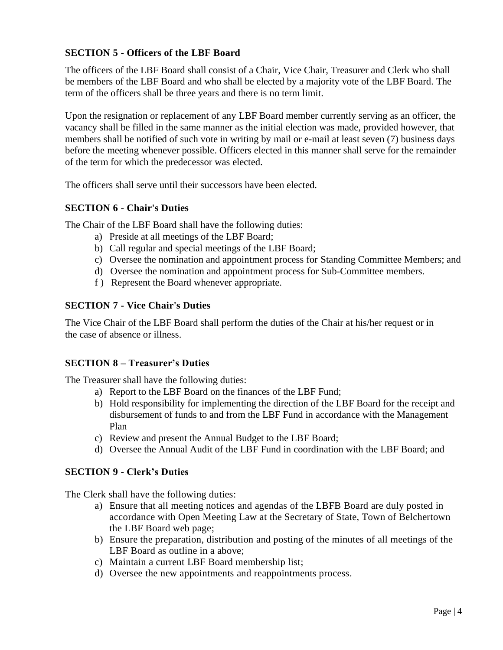### **SECTION 5 - Officers of the LBF Board**

The officers of the LBF Board shall consist of a Chair, Vice Chair, Treasurer and Clerk who shall be members of the LBF Board and who shall be elected by a majority vote of the LBF Board. The term of the officers shall be three years and there is no term limit.

Upon the resignation or replacement of any LBF Board member currently serving as an officer, the vacancy shall be filled in the same manner as the initial election was made, provided however, that members shall be notified of such vote in writing by mail or e-mail at least seven (7) business days before the meeting whenever possible. Officers elected in this manner shall serve for the remainder of the term for which the predecessor was elected.

The officers shall serve until their successors have been elected.

### **SECTION 6 - Chair's Duties**

The Chair of the LBF Board shall have the following duties:

- a) Preside at all meetings of the LBF Board;
- b) Call regular and special meetings of the LBF Board;
- c) Oversee the nomination and appointment process for Standing Committee Members; and
- d) Oversee the nomination and appointment process for Sub-Committee members.
- f ) Represent the Board whenever appropriate.

#### **SECTION 7 - Vice Chair's Duties**

The Vice Chair of the LBF Board shall perform the duties of the Chair at his/her request or in the case of absence or illness.

#### **SECTION 8 – Treasurer's Duties**

The Treasurer shall have the following duties:

- a) Report to the LBF Board on the finances of the LBF Fund;
- b) Hold responsibility for implementing the direction of the LBF Board for the receipt and disbursement of funds to and from the LBF Fund in accordance with the Management Plan
- c) Review and present the Annual Budget to the LBF Board;
- d) Oversee the Annual Audit of the LBF Fund in coordination with the LBF Board; and

### **SECTION 9 - Clerk's Duties**

The Clerk shall have the following duties:

- a) Ensure that all meeting notices and agendas of the LBFB Board are duly posted in accordance with Open Meeting Law at the Secretary of State, Town of Belchertown the LBF Board web page;
- b) Ensure the preparation, distribution and posting of the minutes of all meetings of the LBF Board as outline in a above;
- c) Maintain a current LBF Board membership list;
- d) Oversee the new appointments and reappointments process.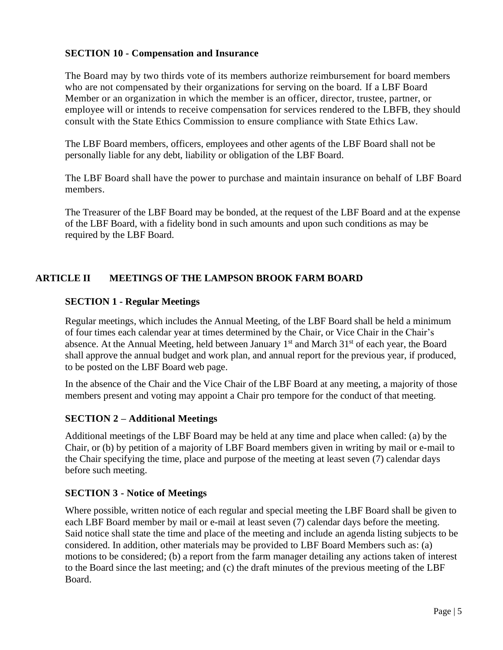#### **SECTION 10 - Compensation and Insurance**

The Board may by two thirds vote of its members authorize reimbursement for board members who are not compensated by their organizations for serving on the board. If a LBF Board Member or an organization in which the member is an officer, director, trustee, partner, or employee will or intends to receive compensation for services rendered to the LBFB, they should consult with the State Ethics Commission to ensure compliance with State Ethics Law.

The LBF Board members, officers, employees and other agents of the LBF Board shall not be personally liable for any debt, liability or obligation of the LBF Board.

The LBF Board shall have the power to purchase and maintain insurance on behalf of LBF Board members.

The Treasurer of the LBF Board may be bonded, at the request of the LBF Board and at the expense of the LBF Board, with a fidelity bond in such amounts and upon such conditions as may be required by the LBF Board.

### **ARTICLE II MEETINGS OF THE LAMPSON BROOK FARM BOARD**

#### **SECTION 1 - Regular Meetings**

Regular meetings, which includes the Annual Meeting, of the LBF Board shall be held a minimum of four times each calendar year at times determined by the Chair, or Vice Chair in the Chair's absence. At the Annual Meeting, held between January 1<sup>st</sup> and March 31<sup>st</sup> of each year, the Board shall approve the annual budget and work plan, and annual report for the previous year, if produced, to be posted on the LBF Board web page.

In the absence of the Chair and the Vice Chair of the LBF Board at any meeting, a majority of those members present and voting may appoint a Chair pro tempore for the conduct of that meeting.

### **SECTION 2 – Additional Meetings**

Additional meetings of the LBF Board may be held at any time and place when called: (a) by the Chair, or (b) by petition of a majority of LBF Board members given in writing by mail or e-mail to the Chair specifying the time, place and purpose of the meeting at least seven (7) calendar days before such meeting.

### **SECTION 3 - Notice of Meetings**

Where possible, written notice of each regular and special meeting the LBF Board shall be given to each LBF Board member by mail or e-mail at least seven (7) calendar days before the meeting. Said notice shall state the time and place of the meeting and include an agenda listing subjects to be considered. In addition, other materials may be provided to LBF Board Members such as: (a) motions to be considered; (b) a report from the farm manager detailing any actions taken of interest to the Board since the last meeting; and (c) the draft minutes of the previous meeting of the LBF Board.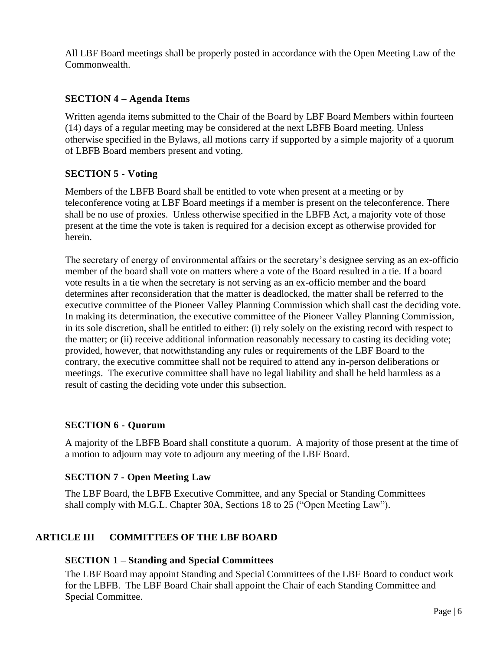All LBF Board meetings shall be properly posted in accordance with the Open Meeting Law of the Commonwealth.

### **SECTION 4 – Agenda Items**

Written agenda items submitted to the Chair of the Board by LBF Board Members within fourteen (14) days of a regular meeting may be considered at the next LBFB Board meeting. Unless otherwise specified in the Bylaws, all motions carry if supported by a simple majority of a quorum of LBFB Board members present and voting.

### **SECTION 5 - Voting**

Members of the LBFB Board shall be entitled to vote when present at a meeting or by teleconference voting at LBF Board meetings if a member is present on the teleconference. There shall be no use of proxies. Unless otherwise specified in the LBFB Act, a majority vote of those present at the time the vote is taken is required for a decision except as otherwise provided for herein.

The secretary of energy of environmental affairs or the secretary's designee serving as an ex-officio member of the board shall vote on matters where a vote of the Board resulted in a tie. If a board vote results in a tie when the secretary is not serving as an ex-officio member and the board determines after reconsideration that the matter is deadlocked, the matter shall be referred to the executive committee of the Pioneer Valley Planning Commission which shall cast the deciding vote. In making its determination, the executive committee of the Pioneer Valley Planning Commission, in its sole discretion, shall be entitled to either: (i) rely solely on the existing record with respect to the matter; or (ii) receive additional information reasonably necessary to casting its deciding vote; provided, however, that notwithstanding any rules or requirements of the LBF Board to the contrary, the executive committee shall not be required to attend any in-person deliberations or meetings. The executive committee shall have no legal liability and shall be held harmless as a result of casting the deciding vote under this subsection.

### **SECTION 6 - Quorum**

A majority of the LBFB Board shall constitute a quorum. A majority of those present at the time of a motion to adjourn may vote to adjourn any meeting of the LBF Board.

### **SECTION 7 - Open Meeting Law**

The LBF Board, the LBFB Executive Committee, and any Special or Standing Committees shall comply with M.G.L. Chapter 30A, Sections 18 to 25 ("Open Meeting Law").

### **ARTICLE III COMMITTEES OF THE LBF BOARD**

### **SECTION 1 – Standing and Special Committees**

The LBF Board may appoint Standing and Special Committees of the LBF Board to conduct work for the LBFB. The LBF Board Chair shall appoint the Chair of each Standing Committee and Special Committee.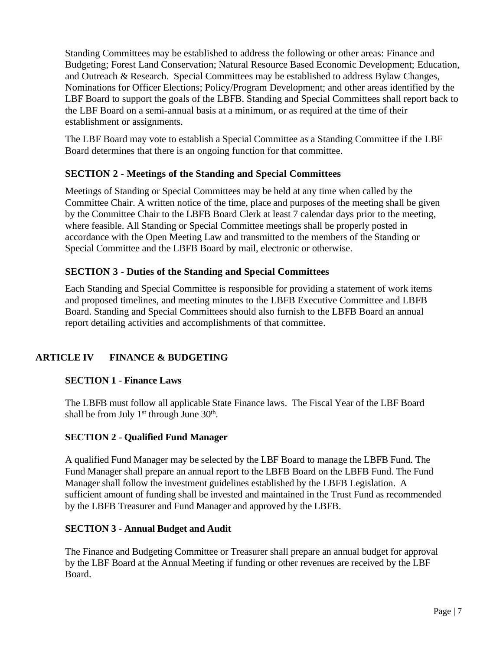Standing Committees may be established to address the following or other areas: Finance and Budgeting; Forest Land Conservation; Natural Resource Based Economic Development; Education, and Outreach & Research. Special Committees may be established to address Bylaw Changes, Nominations for Officer Elections; Policy/Program Development; and other areas identified by the LBF Board to support the goals of the LBFB. Standing and Special Committees shall report back to the LBF Board on a semi-annual basis at a minimum, or as required at the time of their establishment or assignments.

The LBF Board may vote to establish a Special Committee as a Standing Committee if the LBF Board determines that there is an ongoing function for that committee.

### **SECTION 2 - Meetings of the Standing and Special Committees**

Meetings of Standing or Special Committees may be held at any time when called by the Committee Chair. A written notice of the time, place and purposes of the meeting shall be given by the Committee Chair to the LBFB Board Clerk at least 7 calendar days prior to the meeting, where feasible. All Standing or Special Committee meetings shall be properly posted in accordance with the Open Meeting Law and transmitted to the members of the Standing or Special Committee and the LBFB Board by mail, electronic or otherwise.

### **SECTION 3 - Duties of the Standing and Special Committees**

Each Standing and Special Committee is responsible for providing a statement of work items and proposed timelines, and meeting minutes to the LBFB Executive Committee and LBFB Board. Standing and Special Committees should also furnish to the LBFB Board an annual report detailing activities and accomplishments of that committee.

### **ARTICLE IV FINANCE & BUDGETING**

### **SECTION 1** - **Finance Laws**

The LBFB must follow all applicable State Finance laws. The Fiscal Year of the LBF Board shall be from July  $1<sup>st</sup>$  through June  $30<sup>th</sup>$ .

### **SECTION 2** - **Qualified Fund Manager**

A qualified Fund Manager may be selected by the LBF Board to manage the LBFB Fund. The Fund Manager shall prepare an annual report to the LBFB Board on the LBFB Fund. The Fund Manager shall follow the investment guidelines established by the LBFB Legislation. A sufficient amount of funding shall be invested and maintained in the Trust Fund as recommended by the LBFB Treasurer and Fund Manager and approved by the LBFB.

### **SECTION 3** - **Annual Budget and Audit**

The Finance and Budgeting Committee or Treasurer shall prepare an annual budget for approval by the LBF Board at the Annual Meeting if funding or other revenues are received by the LBF Board.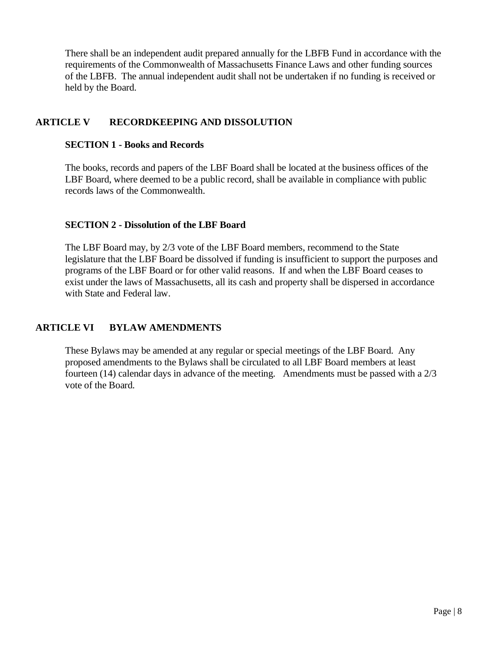There shall be an independent audit prepared annually for the LBFB Fund in accordance with the requirements of the Commonwealth of Massachusetts Finance Laws and other funding sources of the LBFB. The annual independent audit shall not be undertaken if no funding is received or held by the Board.

### **ARTICLE V RECORDKEEPING AND DISSOLUTION**

#### **SECTION 1 - Books and Records**

The books, records and papers of the LBF Board shall be located at the business offices of the LBF Board, where deemed to be a public record, shall be available in compliance with public records laws of the Commonwealth.

#### **SECTION 2 - Dissolution of the LBF Board**

The LBF Board may, by 2/3 vote of the LBF Board members, recommend to the State legislature that the LBF Board be dissolved if funding is insufficient to support the purposes and programs of the LBF Board or for other valid reasons. If and when the LBF Board ceases to exist under the laws of Massachusetts, all its cash and property shall be dispersed in accordance with State and Federal law.

### **ARTICLE VI BYLAW AMENDMENTS**

These Bylaws may be amended at any regular or special meetings of the LBF Board. Any proposed amendments to the Bylaws shall be circulated to all LBF Board members at least fourteen (14) calendar days in advance of the meeting. Amendments must be passed with a 2/3 vote of the Board.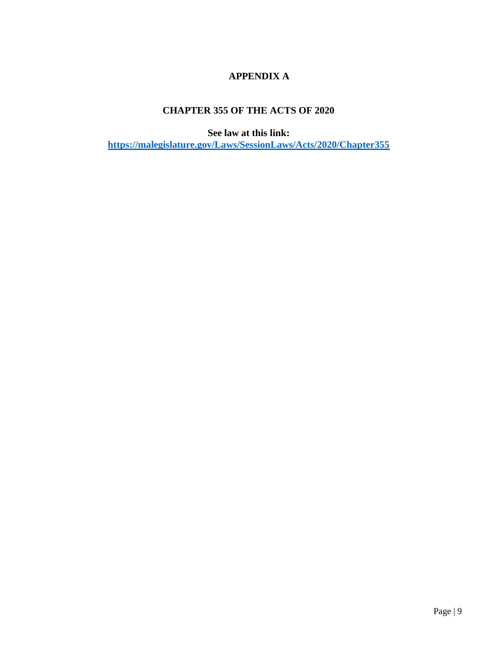## **APPENDIX A**

## **CHAPTER 355 OF THE ACTS OF 2020**

**See law at this link: <https://malegislature.gov/Laws/SessionLaws/Acts/2020/Chapter355>**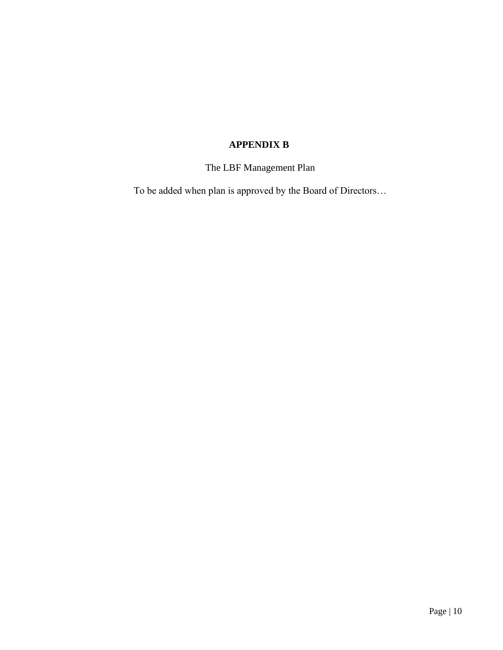## **APPENDIX B**

## The LBF Management Plan

To be added when plan is approved by the Board of Directors…